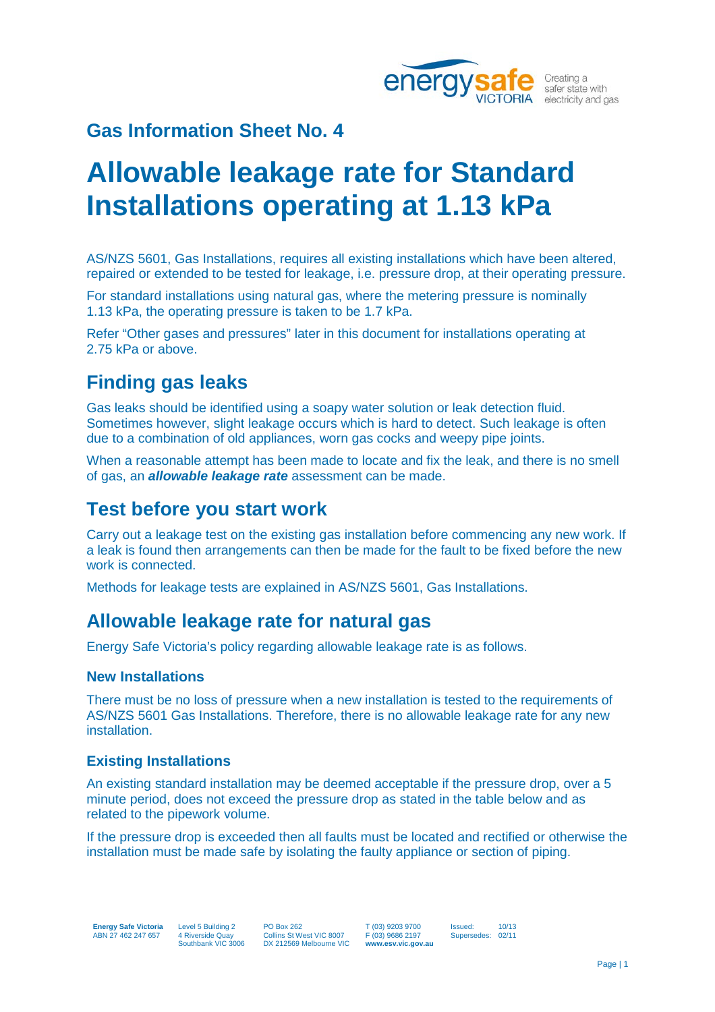

## **Gas Information Sheet No. 4**

# **Allowable leakage rate for Standard Installations operating at 1.13 kPa**

AS/NZS 5601, Gas Installations, requires all existing installations which have been altered, repaired or extended to be tested for leakage, i.e. pressure drop, at their operating pressure.

For standard installations using natural gas, where the metering pressure is nominally 1.13 kPa, the operating pressure is taken to be 1.7 kPa.

Refer "Other gases and pressures" later in this document for installations operating at 2.75 kPa or above.

### **Finding gas leaks**

Gas leaks should be identified using a soapy water solution or leak detection fluid. Sometimes however, slight leakage occurs which is hard to detect. Such leakage is often due to a combination of old appliances, worn gas cocks and weepy pipe joints.

When a reasonable attempt has been made to locate and fix the leak, and there is no smell of gas, an *allowable leakage rate* assessment can be made.

#### **Test before you start work**

Carry out a leakage test on the existing gas installation before commencing any new work. If a leak is found then arrangements can then be made for the fault to be fixed before the new work is connected.

Methods for leakage tests are explained in AS/NZS 5601, Gas Installations.

### **Allowable leakage rate for natural gas**

Energy Safe Victoria's policy regarding allowable leakage rate is as follows.

#### **New Installations**

There must be no loss of pressure when a new installation is tested to the requirements of AS/NZS 5601 Gas Installations. Therefore, there is no allowable leakage rate for any new installation.

#### **Existing Installations**

An existing standard installation may be deemed acceptable if the pressure drop, over a 5 minute period, does not exceed the pressure drop as stated in the table below and as related to the pipework volume.

If the pressure drop is exceeded then all faults must be located and rectified or otherwise the installation must be made safe by isolating the faulty appliance or section of piping.

**Energy Safe Victoria** ABN 27 462 247 657

Level 5 Building 2 4 Riverside Quay Southbank VIC 3006 PO Box 262 Collins St West VIC 8007 DX 212569 Melbourne VIC T (03) 9203 9700 F (03) 9686 2197 **www.esv.vic.gov.au** Issued: 10/13 Supersedes: 02/11